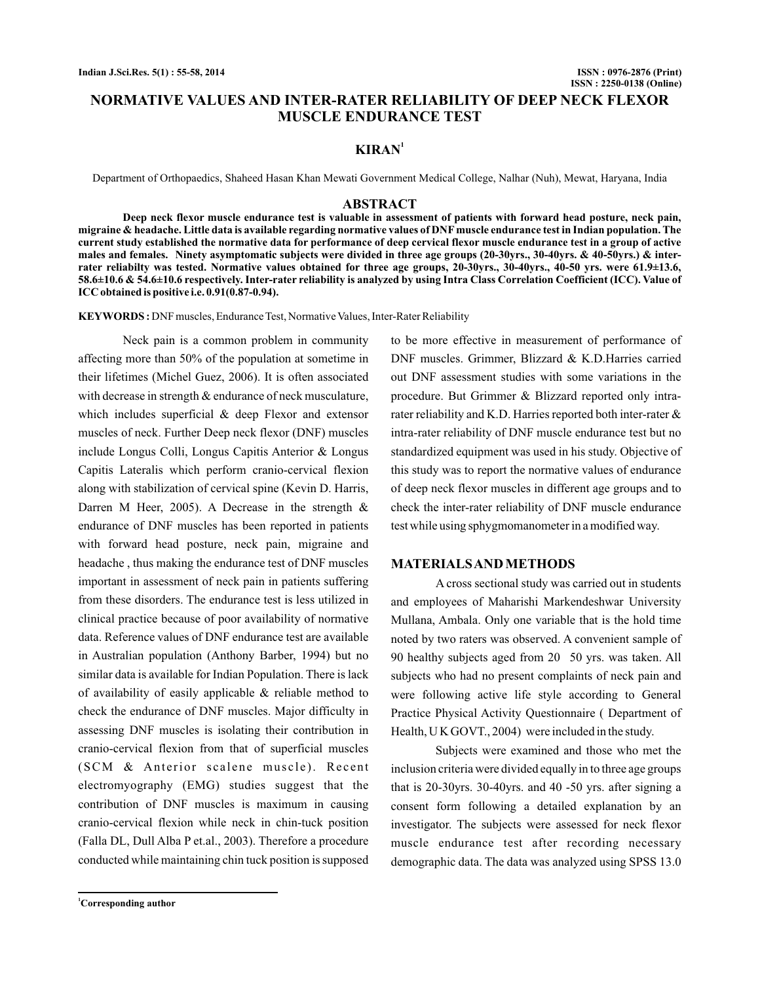## **NORMATIVE VALUES AND INTER-RATER RELIABILITY OF DEEP NECK FLEXOR MUSCLE ENDURANCE TEST**

# $KIRAN<sup>1</sup>$

Department of Orthopaedics, Shaheed Hasan Khan Mewati Government Medical College, Nalhar (Nuh), Mewat, Haryana, India

#### **ABSTRACT**

**Deep neck flexor muscle endurance test is valuable in assessment of patients with forward head posture, neck pain, migraine & headache. Little data is available regarding normative values of DNFmuscle endurance test in Indian population. The current study established the normative data for performance of deep cervical flexor muscle endurance test in a group of active males and females. Ninety asymptomatic subjects were divided in three age groups (20-30yrs., 30-40yrs. & 40-50yrs.) & interrater reliabilty was tested. Normative values obtained for three age groups, 20-30yrs., 30-40yrs., 40-50 yrs. were 61.9±13.6, 58.6±10.6 & 54.6±10.6 respectively. Inter-rater reliability is analyzed by using Intra Class Correlation Coefficient (ICC). Value of ICC obtained is positive i.e. 0.91(0.87-0.94).**

**KEYWORDS :** DNF muscles, Endurance Test, Normative Values, Inter-Rater Reliability

Neck pain is a common problem in community affecting more than 50% of the population at sometime in their lifetimes (Michel Guez, 2006). It is often associated with decrease in strength  $&$  endurance of neck musculature, which includes superficial & deep Flexor and extensor muscles of neck. Further Deep neck flexor (DNF) muscles include Longus Colli, Longus Capitis Anterior & Longus Capitis Lateralis which perform cranio-cervical flexion along with stabilization of cervical spine (Kevin D. Harris, Darren M Heer, 2005). A Decrease in the strength  $\&$ endurance of DNF muscles has been reported in patients with forward head posture, neck pain, migraine and headache , thus making the endurance test of DNF muscles important in assessment of neck pain in patients suffering from these disorders. The endurance test is less utilized in clinical practice because of poor availability of normative data. Reference values of DNF endurance test are available in Australian population (Anthony Barber, 1994) but no similar data is available for Indian Population. There is lack of availability of easily applicable & reliable method to check the endurance of DNF muscles. Major difficulty in assessing DNF muscles is isolating their contribution in cranio-cervical flexion from that of superficial muscles  $(SCM \& Anterior \; scalene \; muscle).$  Recent electromyography (EMG) studies suggest that the contribution of DNF muscles is maximum in causing cranio-cervical flexion while neck in chin-tuck position (Falla DL, Dull Alba P et.al., 2003). Therefore a procedure conducted while maintaining chin tuck position is supposed

DNF muscles. Grimmer, Blizzard & K.D.Harries carried out DNF assessment studies with some variations in the procedure. But Grimmer & Blizzard reported only intrarater reliability and K.D. Harries reported both inter-rater & intra-rater reliability of DNF muscle endurance test but no standardized equipment was used in his study. Objective of this study was to report the normative values of endurance of deep neck flexor muscles in different age groups and to check the inter-rater reliability of DNF muscle endurance test while using sphygmomanometer in a modified way.

to be more effective in measurement of performance of

#### **MATERIALSANDMETHODS**

A cross sectional study was carried out in students and employees of Maharishi Markendeshwar University Mullana, Ambala. Only one variable that is the hold time noted by two raters was observed. A convenient sample of 90 healthy subjects aged from 20 50 yrs. was taken. All subjects who had no present complaints of neck pain and were following active life style according to General Practice Physical Activity Questionnaire ( Department of Health, U K GOVT., 2004) were included in the study.

Subjects were examined and those who met the inclusion criteria were divided equally in to three age groups that is 20-30yrs. 30-40yrs. and 40 -50 yrs. after signing a consent form following a detailed explanation by an investigator. The subjects were assessed for neck flexor muscle endurance test after recording necessary demographic data. The data was analyzed using SPSS 13.0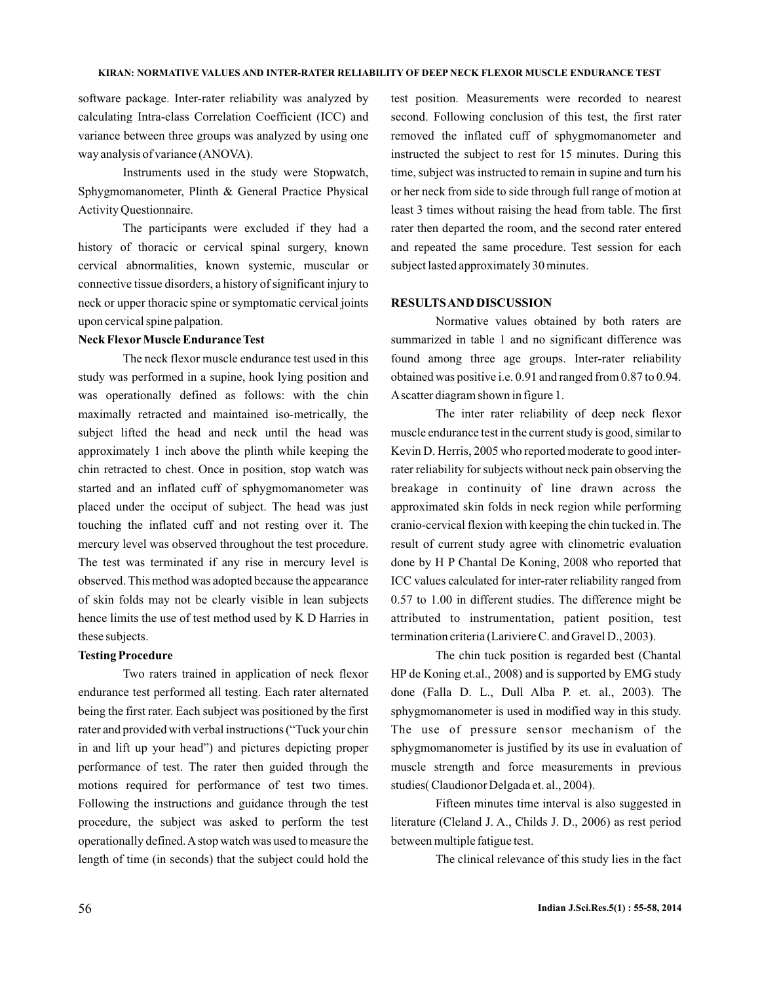software package. Inter-rater reliability was analyzed by calculating Intra-class Correlation Coefficient (ICC) and variance between three groups was analyzed by using one way analysis of variance (ANOVA).

Instruments used in the study were Stopwatch, Sphygmomanometer, Plinth & General Practice Physical Activity Questionnaire.

The participants were excluded if they had a history of thoracic or cervical spinal surgery, known cervical abnormalities, known systemic, muscular or connective tissue disorders, a history of significant injury to neck or upper thoracic spine or symptomatic cervical joints upon cervical spine palpation.

#### **Neck Flexor Muscle Endurance Test**

The neck flexor muscle endurance test used in this study was performed in a supine, hook lying position and was operationally defined as follows: with the chin maximally retracted and maintained iso-metrically, the subject lifted the head and neck until the head was approximately 1 inch above the plinth while keeping the chin retracted to chest. Once in position, stop watch was started and an inflated cuff of sphygmomanometer was placed under the occiput of subject. The head was just touching the inflated cuff and not resting over it. The mercury level was observed throughout the test procedure. The test was terminated if any rise in mercury level is observed. This method was adopted because the appearance of skin folds may not be clearly visible in lean subjects hence limits the use of test method used by K D Harries in these subjects.

#### **Testing Procedure**

Two raters trained in application of neck flexor endurance test performed all testing. Each rater alternated being the first rater. Each subject was positioned by the first rater and provided with verbal instructions ("Tuck your chin in and lift up your head") and pictures depicting proper performance of test. The rater then guided through the motions required for performance of test two times. Following the instructions and guidance through the test procedure, the subject was asked to perform the test operationally defined.A stop watch was used to measure the length of time (in seconds) that the subject could hold the test position. Measurements were recorded to nearest second. Following conclusion of this test, the first rater removed the inflated cuff of sphygmomanometer and instructed the subject to rest for 15 minutes. During this time, subject was instructed to remain in supine and turn his or her neck from side to side through full range of motion at least 3 times without raising the head from table. The first rater then departed the room, and the second rater entered and repeated the same procedure. Test session for each subject lasted approximately 30 minutes.

#### **RESULTSAND DISCUSSION**

Normative values obtained by both raters are summarized in table 1 and no significant difference was found among three age groups. Inter-rater reliability obtained was positive i.e. 0.91 and ranged from 0.87 to 0.94. Ascatter diagram shown in figure 1.

The inter rater reliability of deep neck flexor muscle endurance test in the current study is good, similar to Kevin D. Herris, 2005 who reported moderate to good interrater reliability for subjects without neck pain observing the breakage in continuity of line drawn across the approximated skin folds in neck region while performing cranio-cervical flexion with keeping the chin tucked in. The result of current study agree with clinometric evaluation done by H P Chantal De Koning, 2008 who reported that ICC values calculated for inter-rater reliability ranged from 0.57 to 1.00 in different studies. The difference might be attributed to instrumentation, patient position, test termination criteria (Lariviere C. and Gravel D., 2003).

The chin tuck position is regarded best (Chantal HP de Koning et.al., 2008) and is supported by EMG study done (Falla D. L., Dull Alba P. et. al., 2003). The sphygmomanometer is used in modified way in this study. The use of pressure sensor mechanism of the sphygmomanometer is justified by its use in evaluation of muscle strength and force measurements in previous studies( Claudionor Delgada et. al., 2004).

Fifteen minutes time interval is also suggested in literature (Cleland J. A., Childs J. D., 2006) as rest period between multiple fatigue test.

The clinical relevance of this study lies in the fact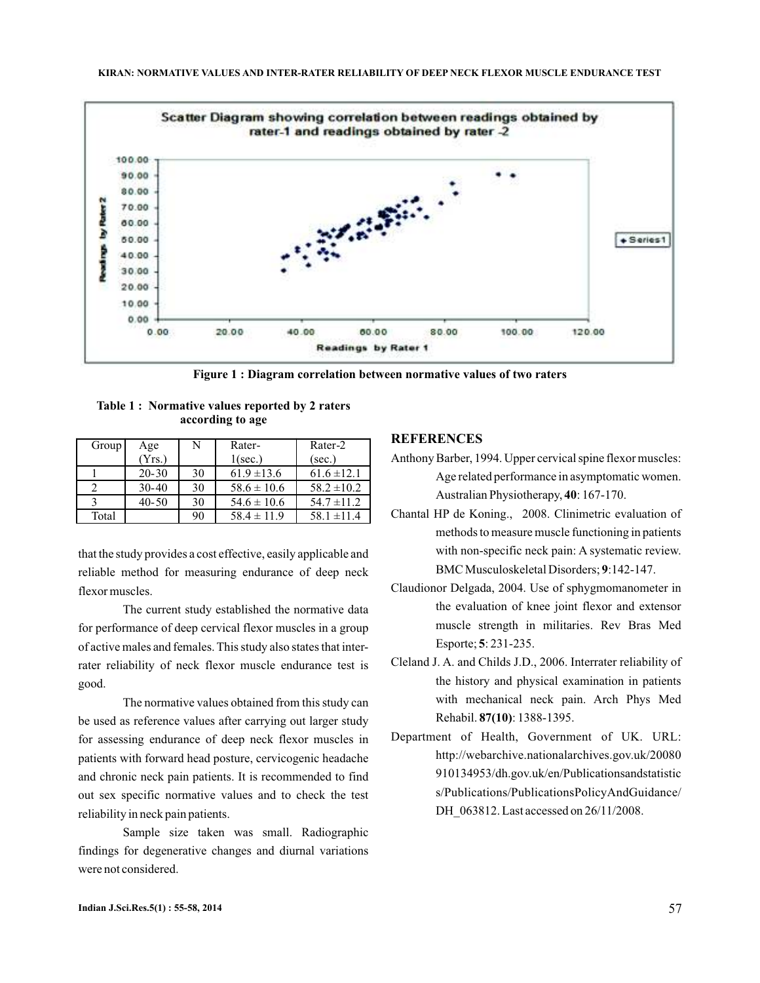

**Figure 1 : Diagram correlation between normative values of two raters**

|                  | Table 1: Normative values reported by 2 raters |  |  |  |  |  |
|------------------|------------------------------------------------|--|--|--|--|--|
| according to age |                                                |  |  |  |  |  |

| Group | Age       | N  | Rater-          | Rater-2         |
|-------|-----------|----|-----------------|-----------------|
|       | (Yrs.)    |    | $1(\sec.)$      | (sec.)          |
|       | $20 - 30$ | 30 | $61.9 \pm 13.6$ | $61.6 \pm 12.1$ |
|       | $30-40$   | 30 | $58.6 \pm 10.6$ | $58.2 \pm 10.2$ |
|       | $40 - 50$ | 30 | $54.6 \pm 10.6$ | $54.7 \pm 11.2$ |
| Total |           | 90 | $58.4 \pm 11.9$ | $58.1 \pm 11.4$ |

that the study provides a cost effective, easily applicable and reliable method for measuring endurance of deep neck flexor muscles.

The current study established the normative data for performance of deep cervical flexor muscles in a group of active males and females. This study also states that interrater reliability of neck flexor muscle endurance test is good.

The normative values obtained from this study can be used as reference values after carrying out larger study for assessing endurance of deep neck flexor muscles in patients with forward head posture, cervicogenic headache and chronic neck pain patients. It is recommended to find out sex specific normative values and to check the test reliability in neck pain patients.

Sample size taken was small. Radiographic findings for degenerative changes and diurnal variations were not considered.

### **REFERENCES**

- Anthony Barber, 1994. Upper cervical spine flexor muscles: Age related performance in asymptomatic women. Australian Physiotherapy, 40: 167-170.
- Chantal HP de Koning., 2008. Clinimetric evaluation of methods to measure muscle functioning in patients with non-specific neck pain: A systematic review. BMC Musculoskeletal Disorders; 9:142-147.
- Claudionor Delgada, 2004. Use of sphygmomanometer in the evaluation of knee joint flexor and extensor muscle strength in militaries. Rev Bras Med Esporte; 5: 231-235.
- Cleland J. A. and Childs J.D., 2006. Interrater reliability of the history and physical examination in patients with mechanical neck pain. Arch Phys Med Rehabil. 87(10): 1388-1395.
- Department of Health, Government of UK. URL: http://webarchive.nationalarchives.gov.uk/20080 910134953/dh.gov.uk/en/Publicationsandstatistic s/Publications/PublicationsPolicyAndGuidance/ DH 063812. Last accessed on 26/11/2008.